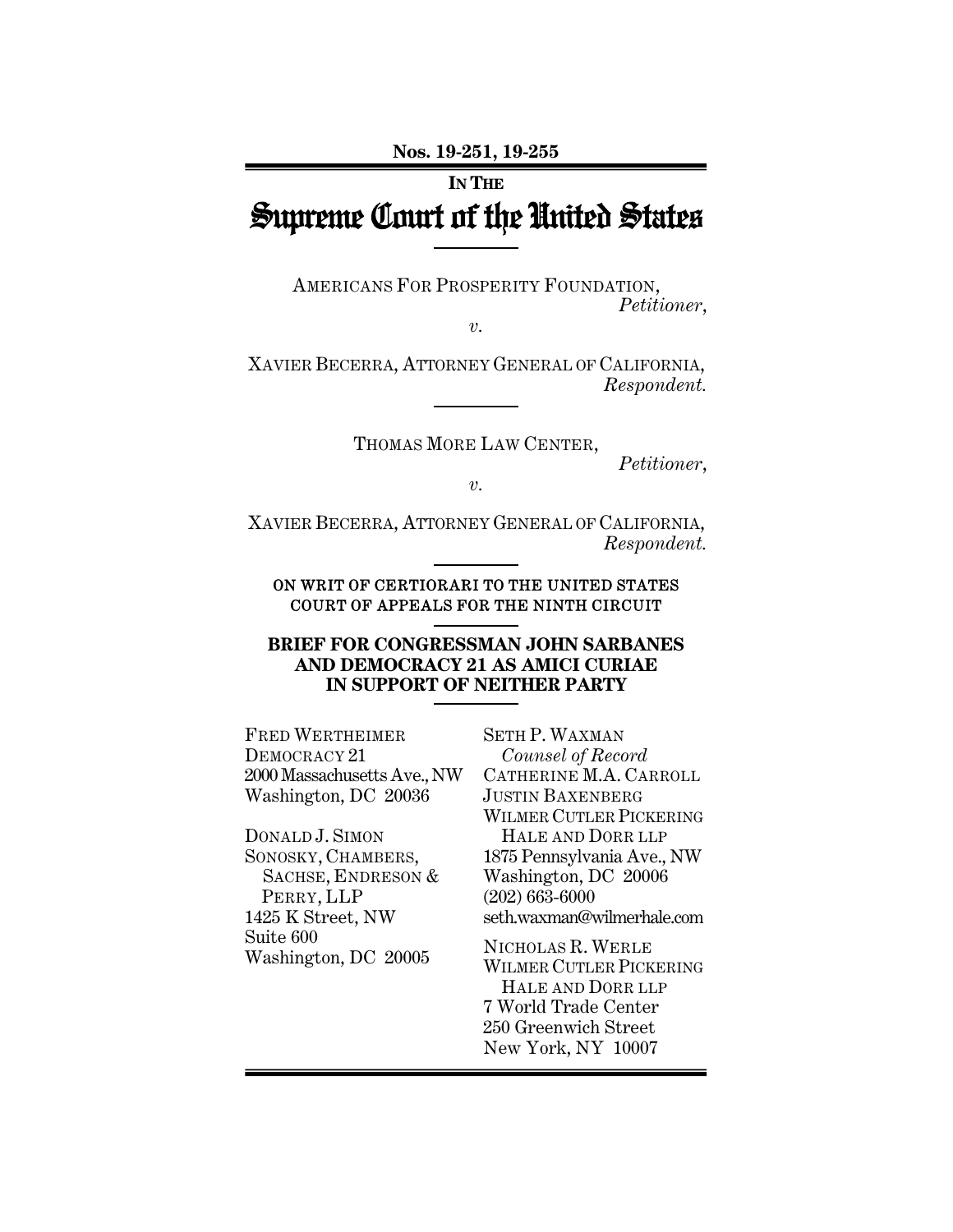**Nos. 19-251, 19-255** 

# **IN THE** Supreme Court of the United States

AMERICANS FOR PROSPERITY FOUNDATION, *Petitioner*,

*v.* 

XAVIER BECERRA, ATTORNEY GENERAL OF CALIFORNIA, *Respondent.* 

THOMAS MORE LAW CENTER,

*Petitioner*,

*v.* 

XAVIER BECERRA, ATTORNEY GENERAL OF CALIFORNIA, *Respondent.*

ON WRIT OF CERTIORARI TO THE UNITED STATES COURT OF APPEALS FOR THE NINTH CIRCUIT

### **BRIEF FOR CONGRESSMAN JOHN SARBANES AND DEMOCRACY 21 AS AMICI CURIAE IN SUPPORT OF NEITHER PARTY**

FRED WERTHEIMER DEMOCRACY 21 2000MassachusettsAve.,NW Washington, DC 20036

DONALD J. SIMON SONOSKY, CHAMBERS, SACHSE, ENDRESON & PERRY, LLP 1425 K Street, NW Suite 600 Washington, DC 20005

SETH P. WAXMAN *Counsel of Record*  CATHERINE M.A. CARROLL JUSTIN BAXENBERG WILMER CUTLER PICKERING HALE AND DORR LLP 1875 Pennsylvania Ave., NW Washington, DC 20006 (202) 663-6000 seth.waxman@wilmerhale.com

NICHOLAS R. WERLE WILMER CUTLER PICKERING HALE AND DORR LLP 7 World Trade Center 250 Greenwich Street New York, NY 10007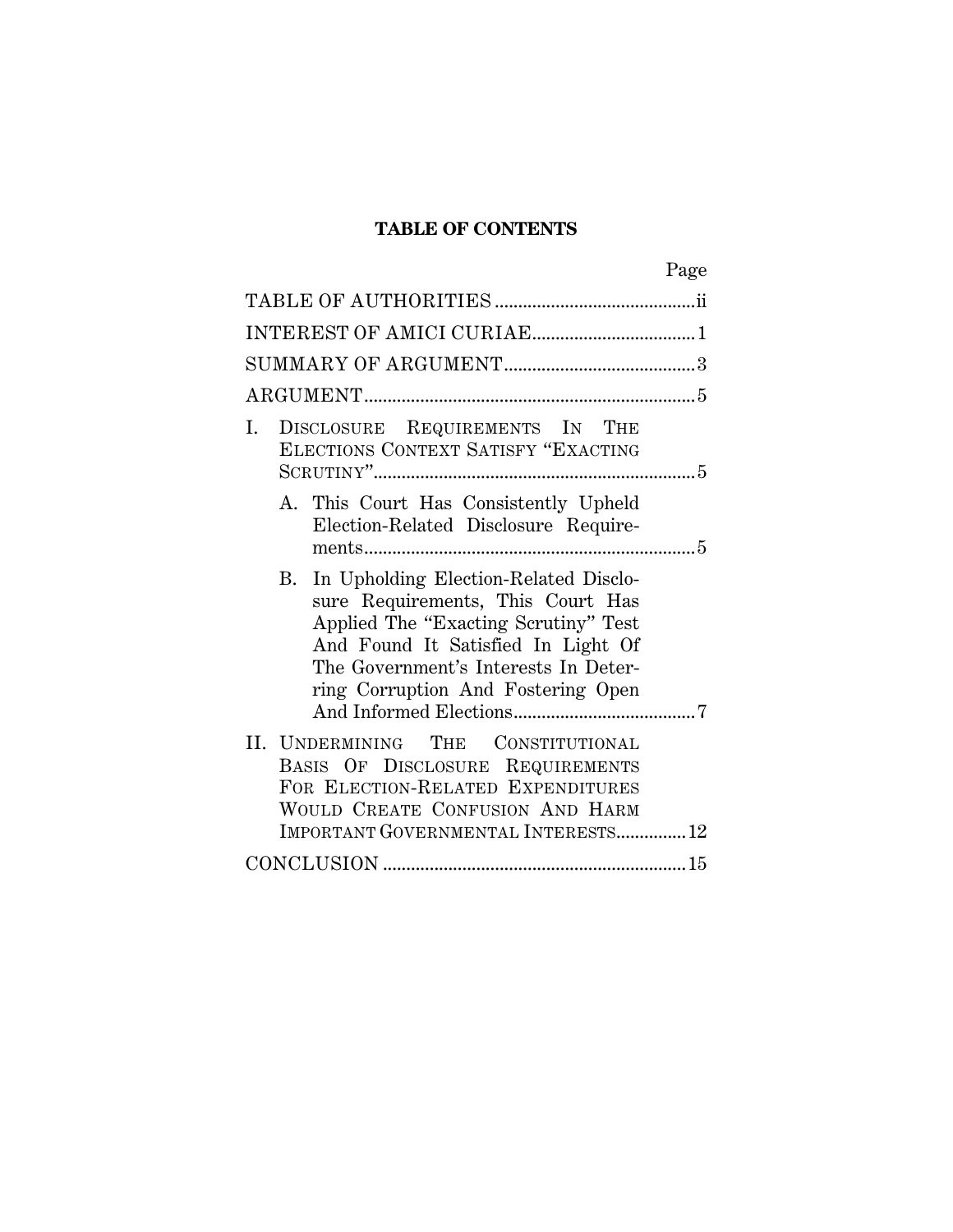## **TABLE OF CONTENTS**

| Page                                                                                                                                                                                                                                      |
|-------------------------------------------------------------------------------------------------------------------------------------------------------------------------------------------------------------------------------------------|
|                                                                                                                                                                                                                                           |
|                                                                                                                                                                                                                                           |
|                                                                                                                                                                                                                                           |
|                                                                                                                                                                                                                                           |
| DISCLOSURE REQUIREMENTS IN THE<br>Ι.<br>ELECTIONS CONTEXT SATISFY "EXACTING                                                                                                                                                               |
| A. This Court Has Consistently Upheld<br>Election-Related Disclosure Require-                                                                                                                                                             |
| B. In Upholding Election-Related Disclo-<br>sure Requirements, This Court Has<br>Applied The "Exacting Scrutiny" Test<br>And Found It Satisfied In Light Of<br>The Government's Interests In Deter-<br>ring Corruption And Fostering Open |
| II. UNDERMINING THE CONSTITUTIONAL<br>BASIS OF DISCLOSURE REQUIREMENTS<br>FOR ELECTION-RELATED EXPENDITURES<br>WOULD CREATE CONFUSION AND HARM<br>IMPORTANT GOVERNMENTAL INTERESTS 12                                                     |
|                                                                                                                                                                                                                                           |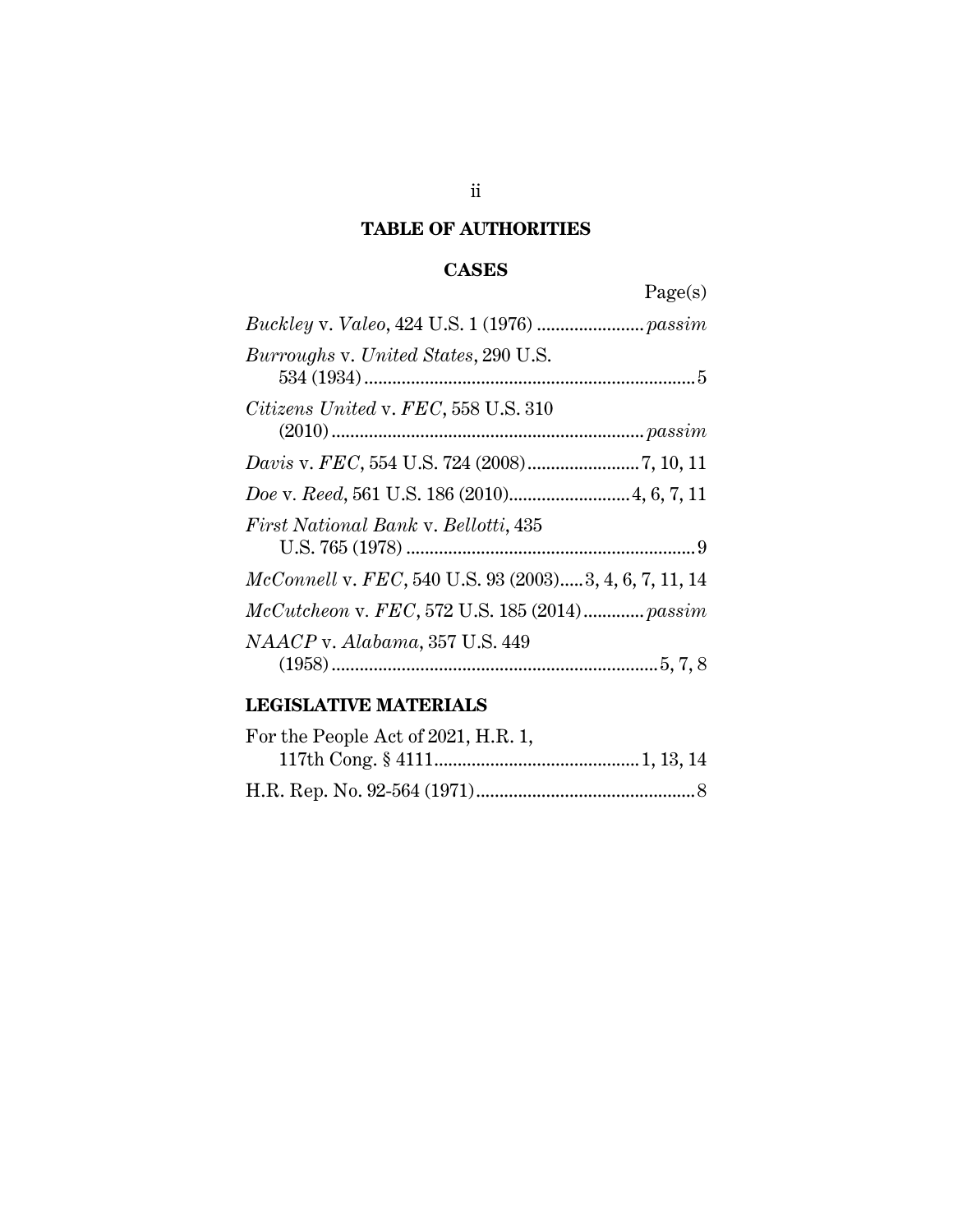# **TABLE OF AUTHORITIES**

# **CASES**

Page(s)

# **LEGISLATIVE MATERIALS**

| For the People Act of 2021, H.R. 1, |  |
|-------------------------------------|--|
|                                     |  |
|                                     |  |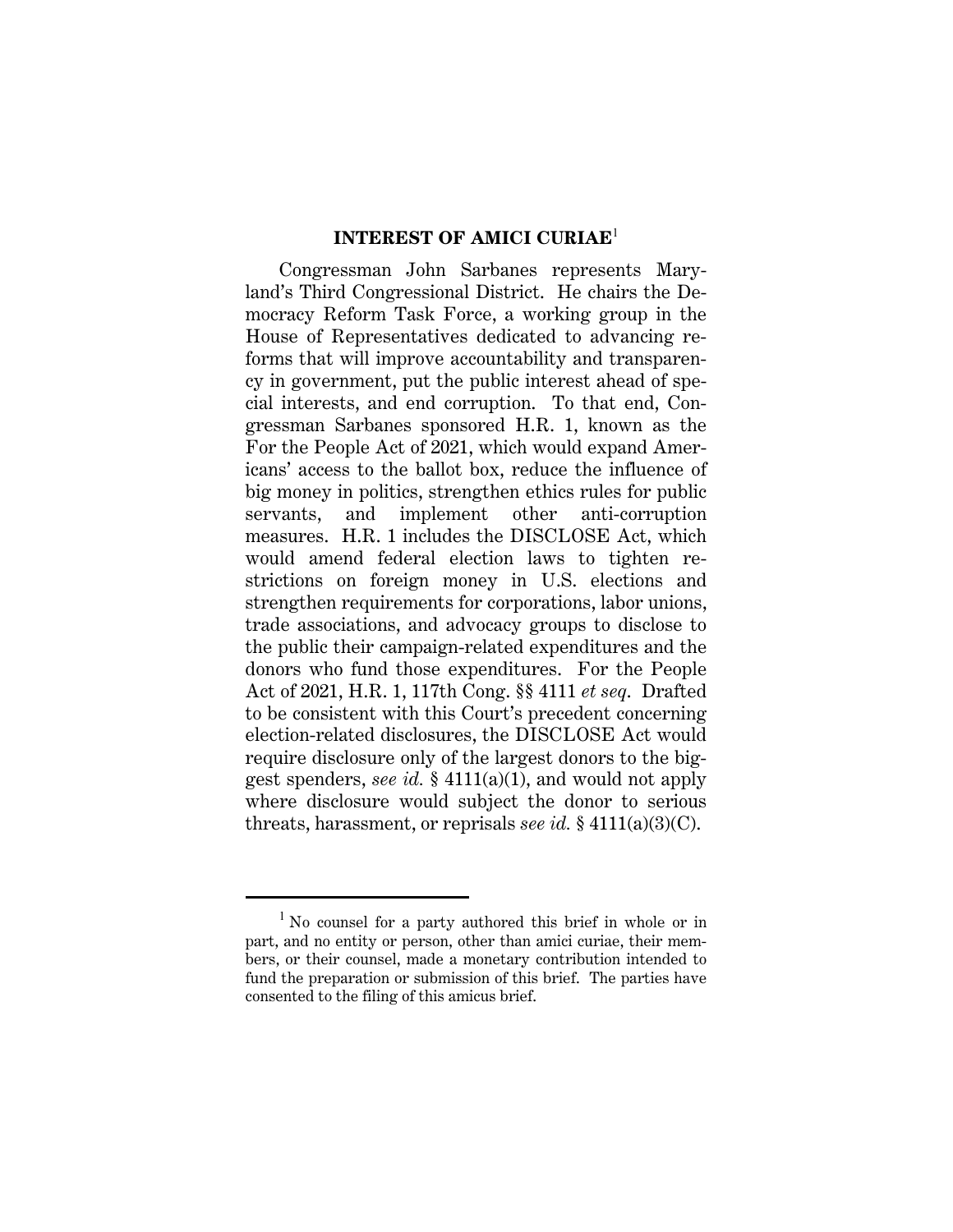#### **INTEREST OF AMICI CURIAE**<sup>1</sup>

Congressman John Sarbanes represents Maryland's Third Congressional District. He chairs the Democracy Reform Task Force, a working group in the House of Representatives dedicated to advancing reforms that will improve accountability and transparency in government, put the public interest ahead of special interests, and end corruption. To that end, Congressman Sarbanes sponsored H.R. 1, known as the For the People Act of 2021, which would expand Americans' access to the ballot box, reduce the influence of big money in politics, strengthen ethics rules for public servants, and implement other anti-corruption measures. H.R. 1 includes the DISCLOSE Act, which would amend federal election laws to tighten restrictions on foreign money in U.S. elections and strengthen requirements for corporations, labor unions, trade associations, and advocacy groups to disclose to the public their campaign-related expenditures and the donors who fund those expenditures. For the People Act of 2021, H.R. 1, 117th Cong. §§ 4111 *et seq*. Drafted to be consistent with this Court's precedent concerning election-related disclosures, the DISCLOSE Act would require disclosure only of the largest donors to the biggest spenders, *see id.* § 4111(a)(1), and would not apply where disclosure would subject the donor to serious threats, harassment, or reprisals *see id.* § 4111(a)(3)(C).

<sup>&</sup>lt;sup>1</sup> No counsel for a party authored this brief in whole or in part, and no entity or person, other than amici curiae, their members, or their counsel, made a monetary contribution intended to fund the preparation or submission of this brief. The parties have consented to the filing of this amicus brief.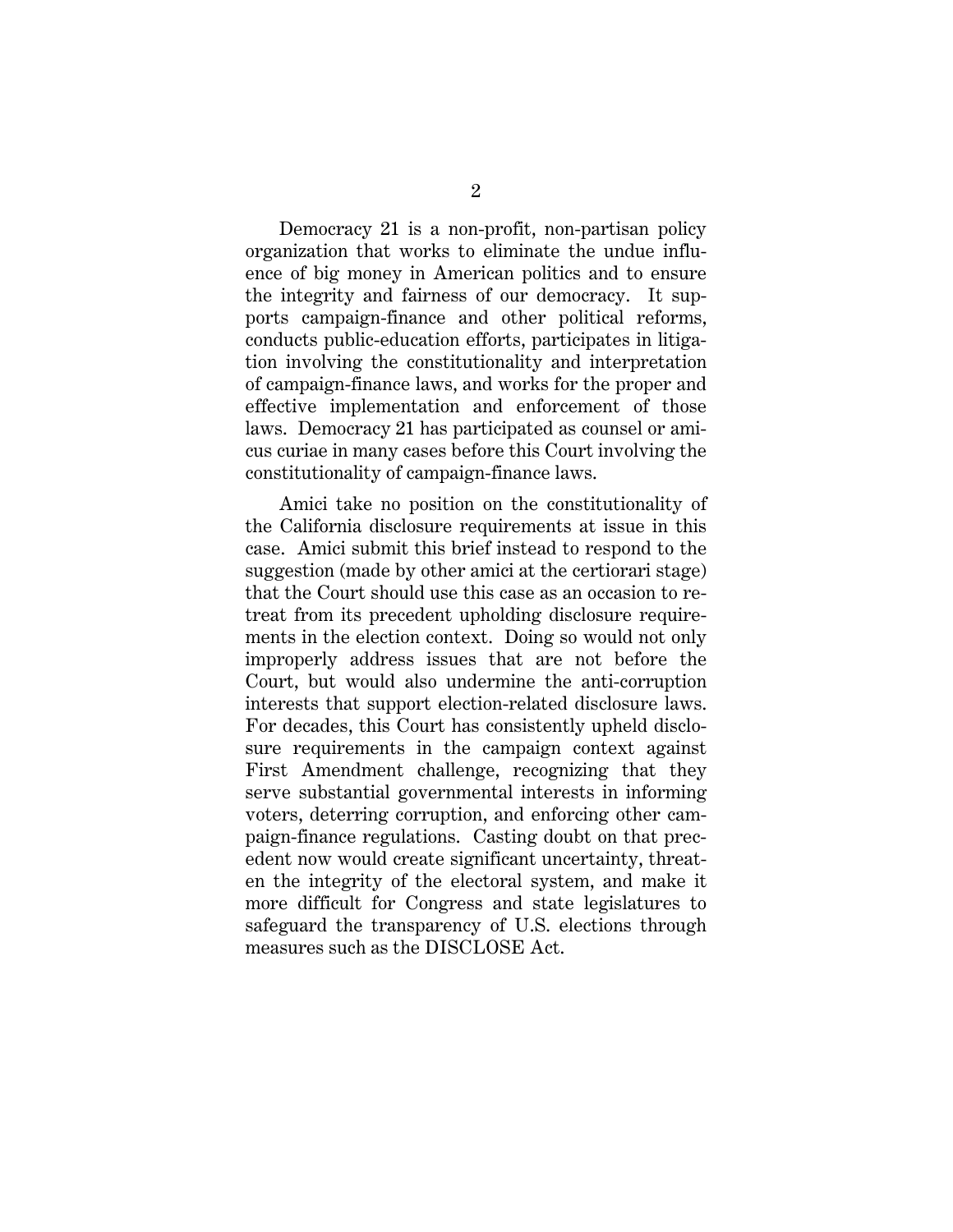Democracy 21 is a non-profit, non-partisan policy organization that works to eliminate the undue influence of big money in American politics and to ensure the integrity and fairness of our democracy. It supports campaign-finance and other political reforms, conducts public-education efforts, participates in litigation involving the constitutionality and interpretation of campaign-finance laws, and works for the proper and effective implementation and enforcement of those laws. Democracy 21 has participated as counsel or amicus curiae in many cases before this Court involving the constitutionality of campaign-finance laws.

Amici take no position on the constitutionality of the California disclosure requirements at issue in this case. Amici submit this brief instead to respond to the suggestion (made by other amici at the certiorari stage) that the Court should use this case as an occasion to retreat from its precedent upholding disclosure requirements in the election context. Doing so would not only improperly address issues that are not before the Court, but would also undermine the anti-corruption interests that support election-related disclosure laws. For decades, this Court has consistently upheld disclosure requirements in the campaign context against First Amendment challenge, recognizing that they serve substantial governmental interests in informing voters, deterring corruption, and enforcing other campaign-finance regulations. Casting doubt on that precedent now would create significant uncertainty, threaten the integrity of the electoral system, and make it more difficult for Congress and state legislatures to safeguard the transparency of U.S. elections through measures such as the DISCLOSE Act.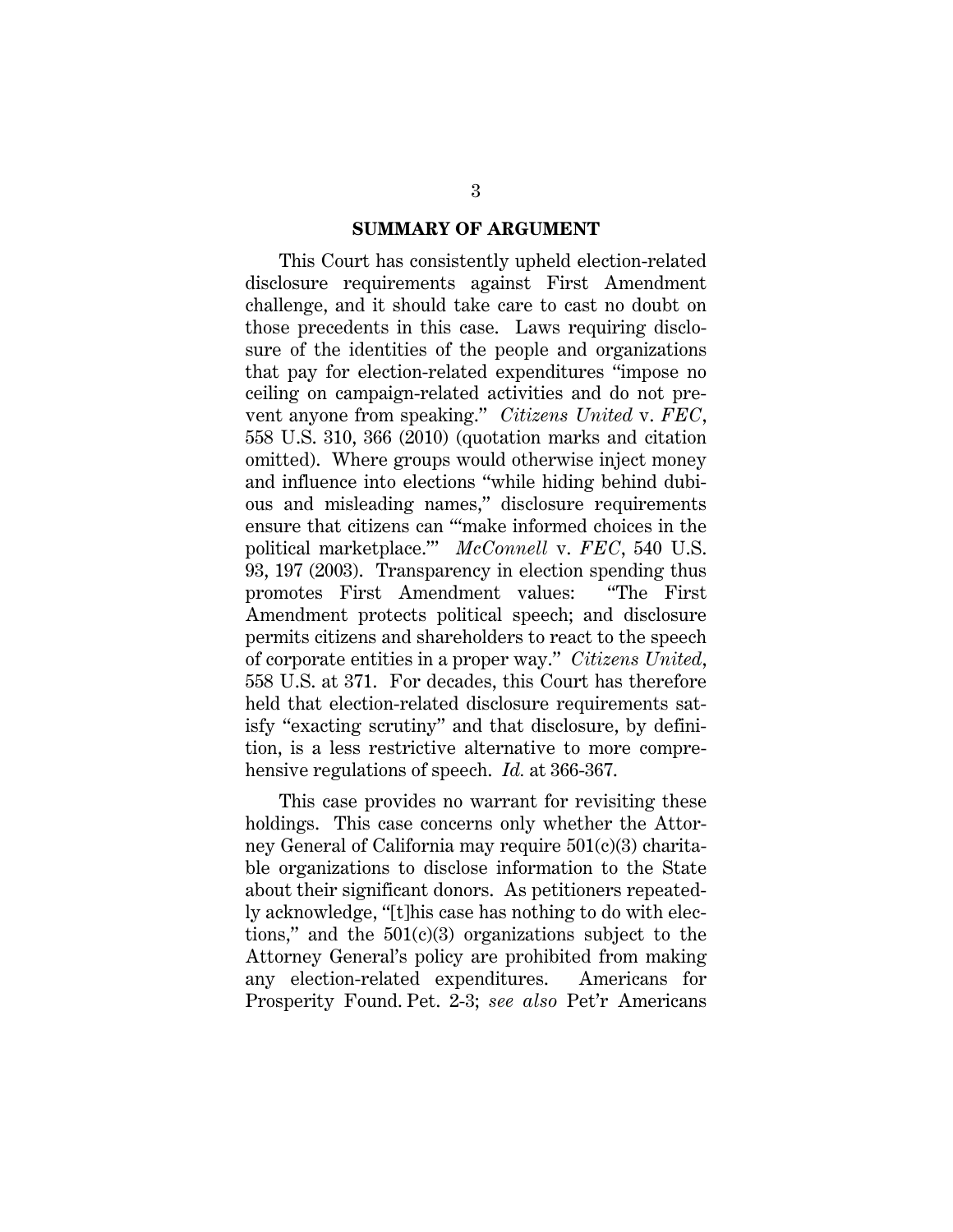#### **SUMMARY OF ARGUMENT**

This Court has consistently upheld election-related disclosure requirements against First Amendment challenge, and it should take care to cast no doubt on those precedents in this case. Laws requiring disclosure of the identities of the people and organizations that pay for election-related expenditures "impose no ceiling on campaign-related activities and do not prevent anyone from speaking." *Citizens United* v. *FEC*, 558 U.S. 310, 366 (2010) (quotation marks and citation omitted). Where groups would otherwise inject money and influence into elections "while hiding behind dubious and misleading names," disclosure requirements ensure that citizens can "'make informed choices in the political marketplace.'" *McConnell* v. *FEC*, 540 U.S. 93, 197 (2003). Transparency in election spending thus promotes First Amendment values: "The First Amendment protects political speech; and disclosure permits citizens and shareholders to react to the speech of corporate entities in a proper way." *Citizens United*, 558 U.S. at 371. For decades, this Court has therefore held that election-related disclosure requirements satisfy "exacting scrutiny" and that disclosure, by definition, is a less restrictive alternative to more comprehensive regulations of speech. *Id.* at 366-367.

This case provides no warrant for revisiting these holdings. This case concerns only whether the Attorney General of California may require 501(c)(3) charitable organizations to disclose information to the State about their significant donors. As petitioners repeatedly acknowledge, "[t]his case has nothing to do with elections," and the  $501(c)(3)$  organizations subject to the Attorney General's policy are prohibited from making any election-related expenditures. Americans for Prosperity Found. Pet. 2-3; *see also* Pet'r Americans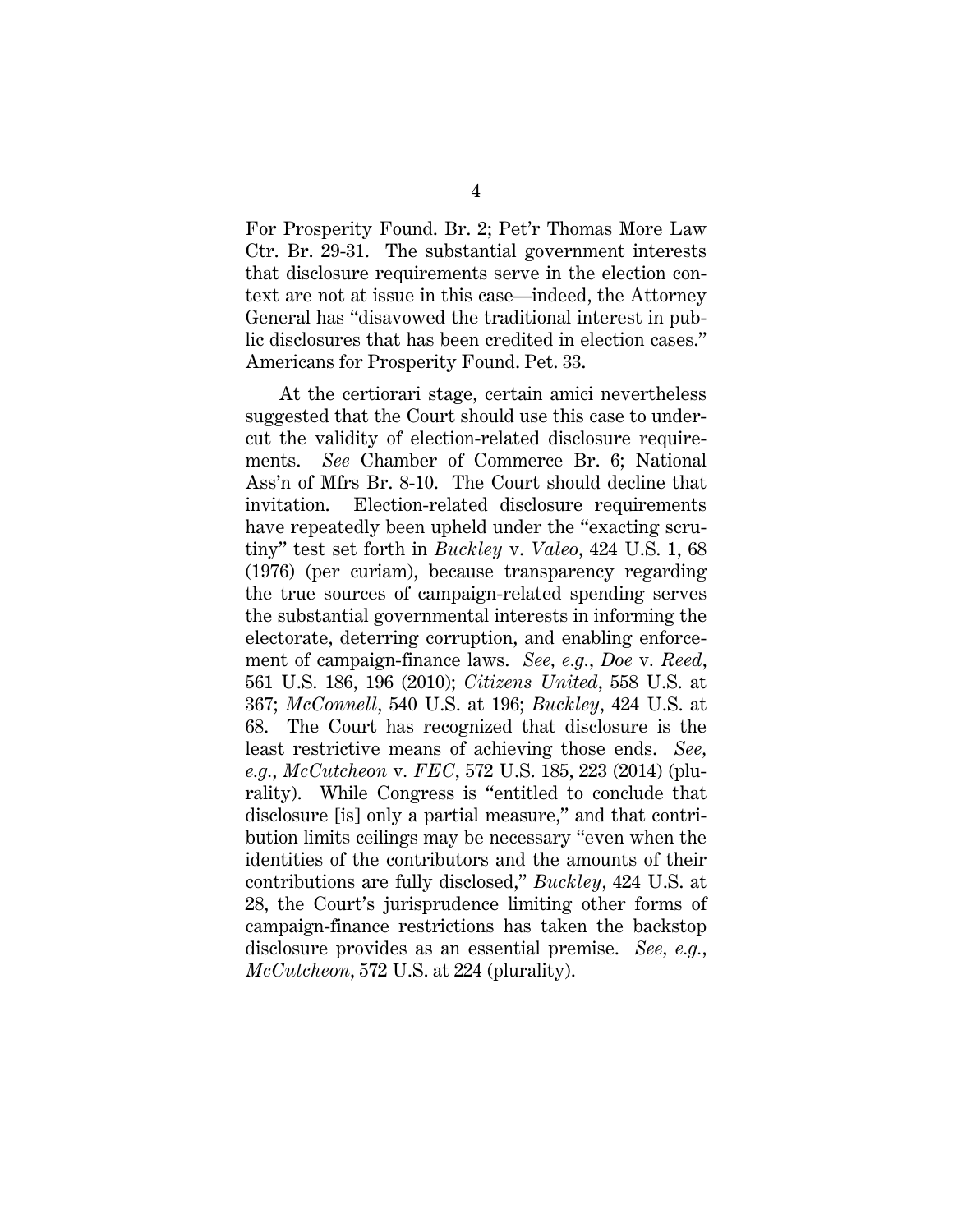For Prosperity Found. Br. 2; Pet'r Thomas More Law Ctr. Br. 29-31. The substantial government interests that disclosure requirements serve in the election context are not at issue in this case—indeed, the Attorney General has "disavowed the traditional interest in public disclosures that has been credited in election cases." Americans for Prosperity Found. Pet. 33.

At the certiorari stage, certain amici nevertheless suggested that the Court should use this case to undercut the validity of election-related disclosure requirements. *See* Chamber of Commerce Br. 6; National Ass'n of Mfrs Br. 8-10. The Court should decline that invitation. Election-related disclosure requirements have repeatedly been upheld under the "exacting scrutiny" test set forth in *Buckley* v. *Valeo*, 424 U.S. 1, 68 (1976) (per curiam), because transparency regarding the true sources of campaign-related spending serves the substantial governmental interests in informing the electorate, deterring corruption, and enabling enforcement of campaign-finance laws. *See, e.g.*, *Doe* v*. Reed*, 561 U.S. 186, 196 (2010); *Citizens United*, 558 U.S. at 367; *McConnell*, 540 U.S. at 196; *Buckley*, 424 U.S. at 68. The Court has recognized that disclosure is the least restrictive means of achieving those ends. *See, e.g.*, *McCutcheon* v*. FEC*, 572 U.S. 185, 223 (2014) (plurality). While Congress is "entitled to conclude that disclosure [is] only a partial measure," and that contribution limits ceilings may be necessary "even when the identities of the contributors and the amounts of their contributions are fully disclosed," *Buckley*, 424 U.S. at 28, the Court's jurisprudence limiting other forms of campaign-finance restrictions has taken the backstop disclosure provides as an essential premise. *See, e.g.*, *McCutcheon*, 572 U.S. at 224 (plurality).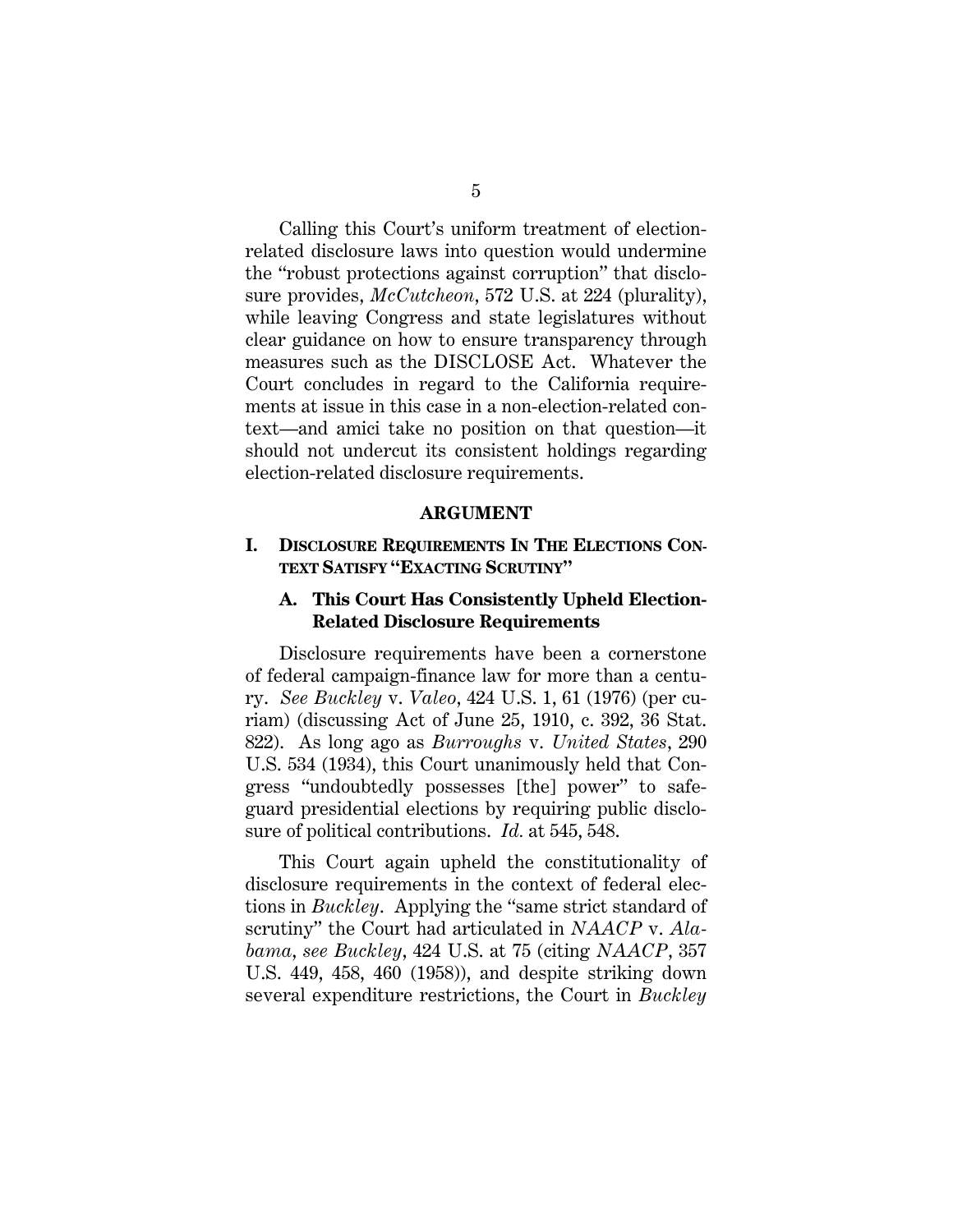Calling this Court's uniform treatment of electionrelated disclosure laws into question would undermine the "robust protections against corruption" that disclosure provides, *McCutcheon*, 572 U.S. at 224 (plurality), while leaving Congress and state legislatures without clear guidance on how to ensure transparency through measures such as the DISCLOSE Act. Whatever the Court concludes in regard to the California requirements at issue in this case in a non-election-related context—and amici take no position on that question—it should not undercut its consistent holdings regarding election-related disclosure requirements.

#### **ARGUMENT**

### **I. DISCLOSURE REQUIREMENTS IN THE ELECTIONS CON-TEXT SATISFY "EXACTING SCRUTINY"**

### **A. This Court Has Consistently Upheld Election-Related Disclosure Requirements**

Disclosure requirements have been a cornerstone of federal campaign-finance law for more than a century. *See Buckley* v. *Valeo*, 424 U.S. 1, 61 (1976) (per curiam) (discussing Act of June 25, 1910, c. 392, 36 Stat. 822). As long ago as *Burroughs* v. *United States*, 290 U.S. 534 (1934), this Court unanimously held that Congress "undoubtedly possesses [the] power" to safeguard presidential elections by requiring public disclosure of political contributions. *Id.* at 545, 548.

This Court again upheld the constitutionality of disclosure requirements in the context of federal elections in *Buckley*. Applying the "same strict standard of scrutiny" the Court had articulated in *NAACP* v. *Alabama*, *see Buckley*, 424 U.S. at 75 (citing *NAACP*, 357 U.S. 449, 458, 460 (1958)), and despite striking down several expenditure restrictions, the Court in *Buckley*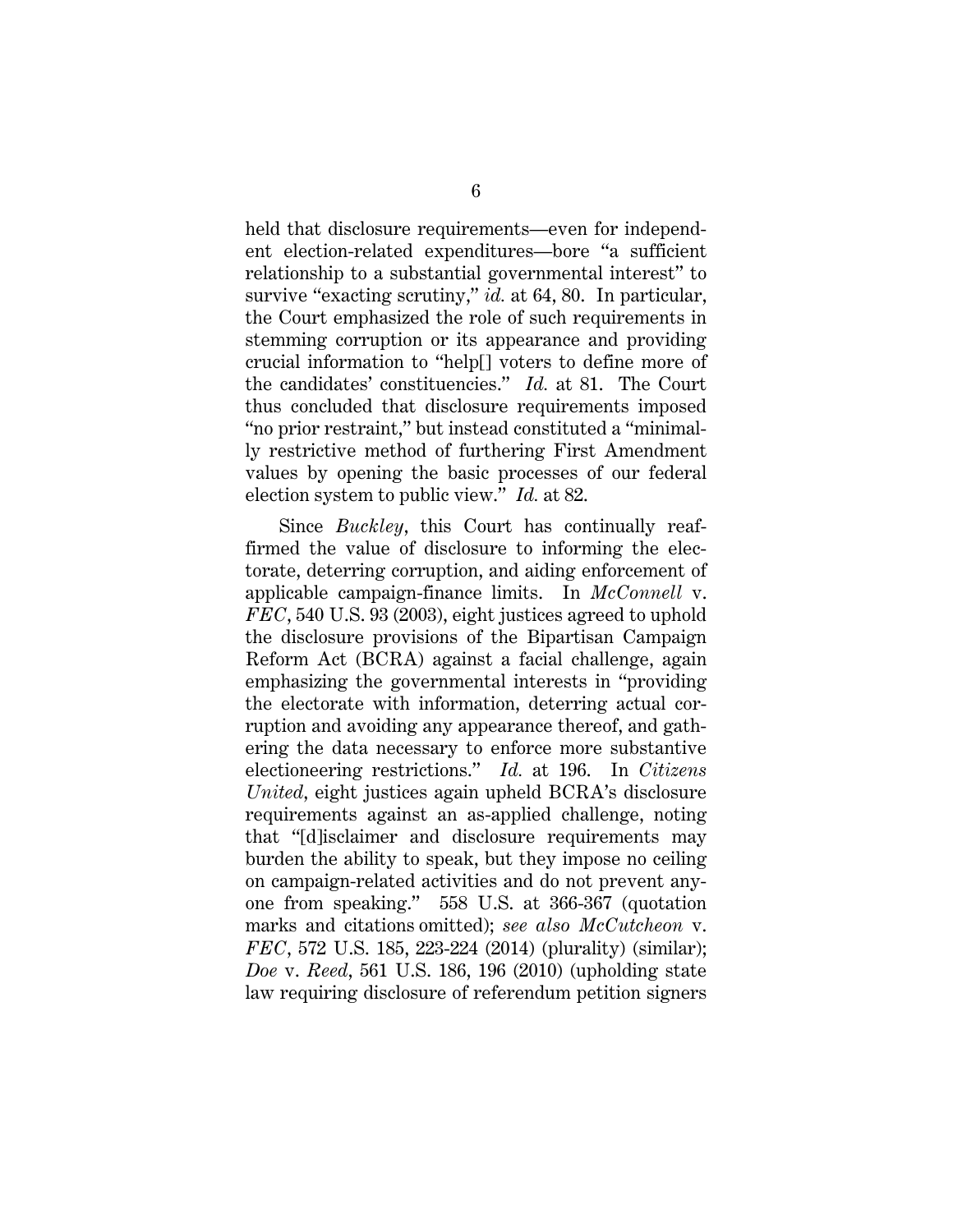held that disclosure requirements—even for independent election-related expenditures—bore "a sufficient relationship to a substantial governmental interest" to survive "exacting scrutiny," *id.* at 64, 80. In particular, the Court emphasized the role of such requirements in stemming corruption or its appearance and providing crucial information to "help[] voters to define more of the candidates' constituencies." *Id.* at 81. The Court thus concluded that disclosure requirements imposed "no prior restraint," but instead constituted a "minimally restrictive method of furthering First Amendment values by opening the basic processes of our federal election system to public view." *Id.* at 82.

Since *Buckley*, this Court has continually reaffirmed the value of disclosure to informing the electorate, deterring corruption, and aiding enforcement of applicable campaign-finance limits. In *McConnell* v. *FEC*, 540 U.S. 93 (2003), eight justices agreed to uphold the disclosure provisions of the Bipartisan Campaign Reform Act (BCRA) against a facial challenge, again emphasizing the governmental interests in "providing the electorate with information, deterring actual corruption and avoiding any appearance thereof, and gathering the data necessary to enforce more substantive electioneering restrictions." *Id.* at 196. In *Citizens United*, eight justices again upheld BCRA's disclosure requirements against an as-applied challenge, noting that "[d]isclaimer and disclosure requirements may burden the ability to speak, but they impose no ceiling on campaign-related activities and do not prevent anyone from speaking." 558 U.S. at 366-367 (quotation marks and citations omitted); *see also McCutcheon* v. *FEC*, 572 U.S. 185, 223-224 (2014) (plurality) (similar); *Doe* v. *Reed*, 561 U.S. 186, 196 (2010) (upholding state law requiring disclosure of referendum petition signers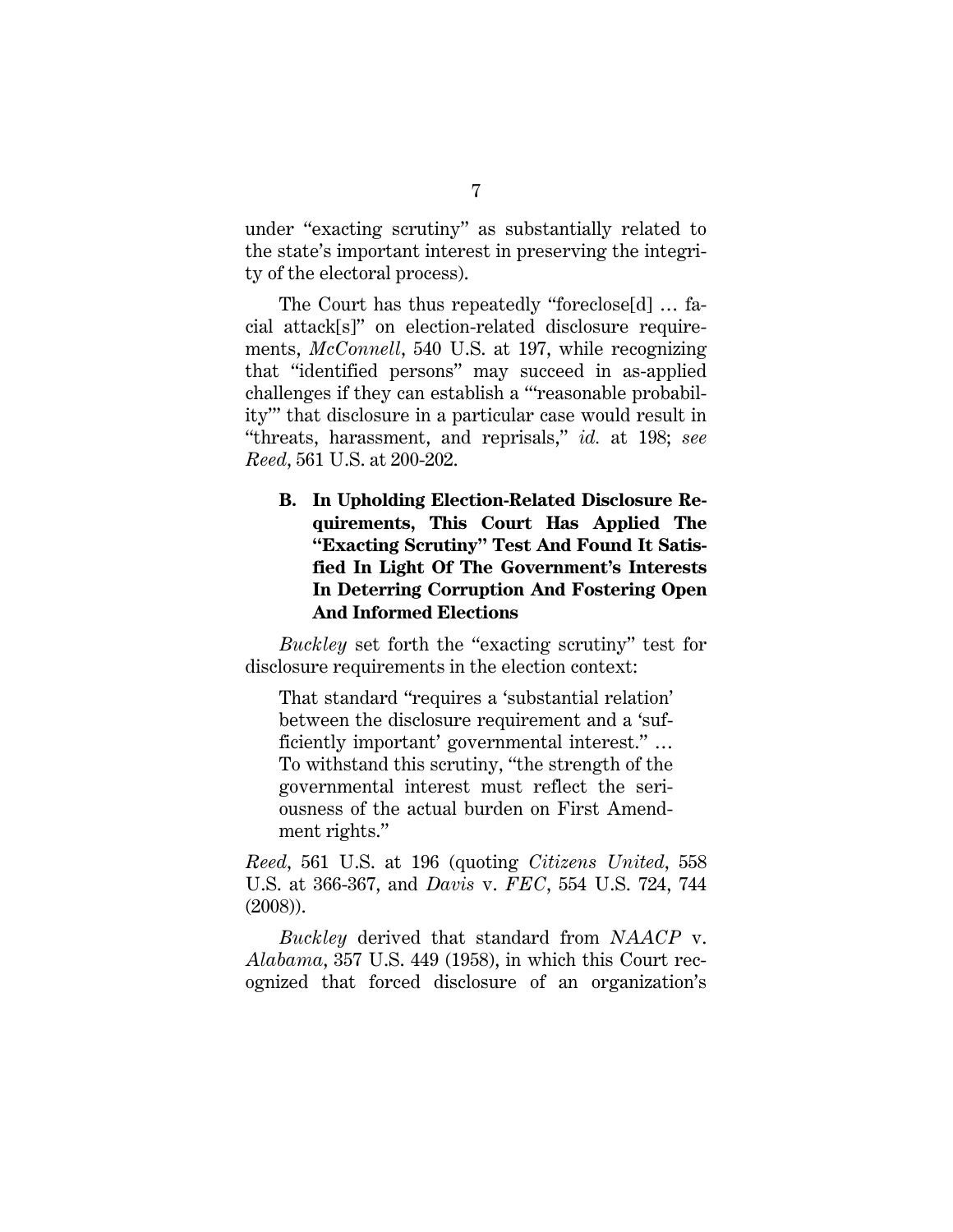under "exacting scrutiny" as substantially related to the state's important interest in preserving the integrity of the electoral process).

The Court has thus repeatedly "foreclose[d] … facial attack[s]" on election-related disclosure requirements, *McConnell*, 540 U.S. at 197, while recognizing that "identified persons" may succeed in as-applied challenges if they can establish a "'reasonable probability'" that disclosure in a particular case would result in "threats, harassment, and reprisals," *id.* at 198; *see Reed*, 561 U.S. at 200-202.

**B. In Upholding Election-Related Disclosure Requirements, This Court Has Applied The "Exacting Scrutiny" Test And Found It Satisfied In Light Of The Government's Interests In Deterring Corruption And Fostering Open And Informed Elections** 

*Buckley* set forth the "exacting scrutiny" test for disclosure requirements in the election context:

That standard "requires a 'substantial relation' between the disclosure requirement and a 'sufficiently important' governmental interest." … To withstand this scrutiny, "the strength of the governmental interest must reflect the seriousness of the actual burden on First Amendment rights."

*Reed*, 561 U.S. at 196 (quoting *Citizens United*, 558 U.S. at 366-367, and *Davis* v. *FEC*, 554 U.S. 724, 744 (2008)).

*Buckley* derived that standard from *NAACP* v. *Alabama*, 357 U.S. 449 (1958), in which this Court recognized that forced disclosure of an organization's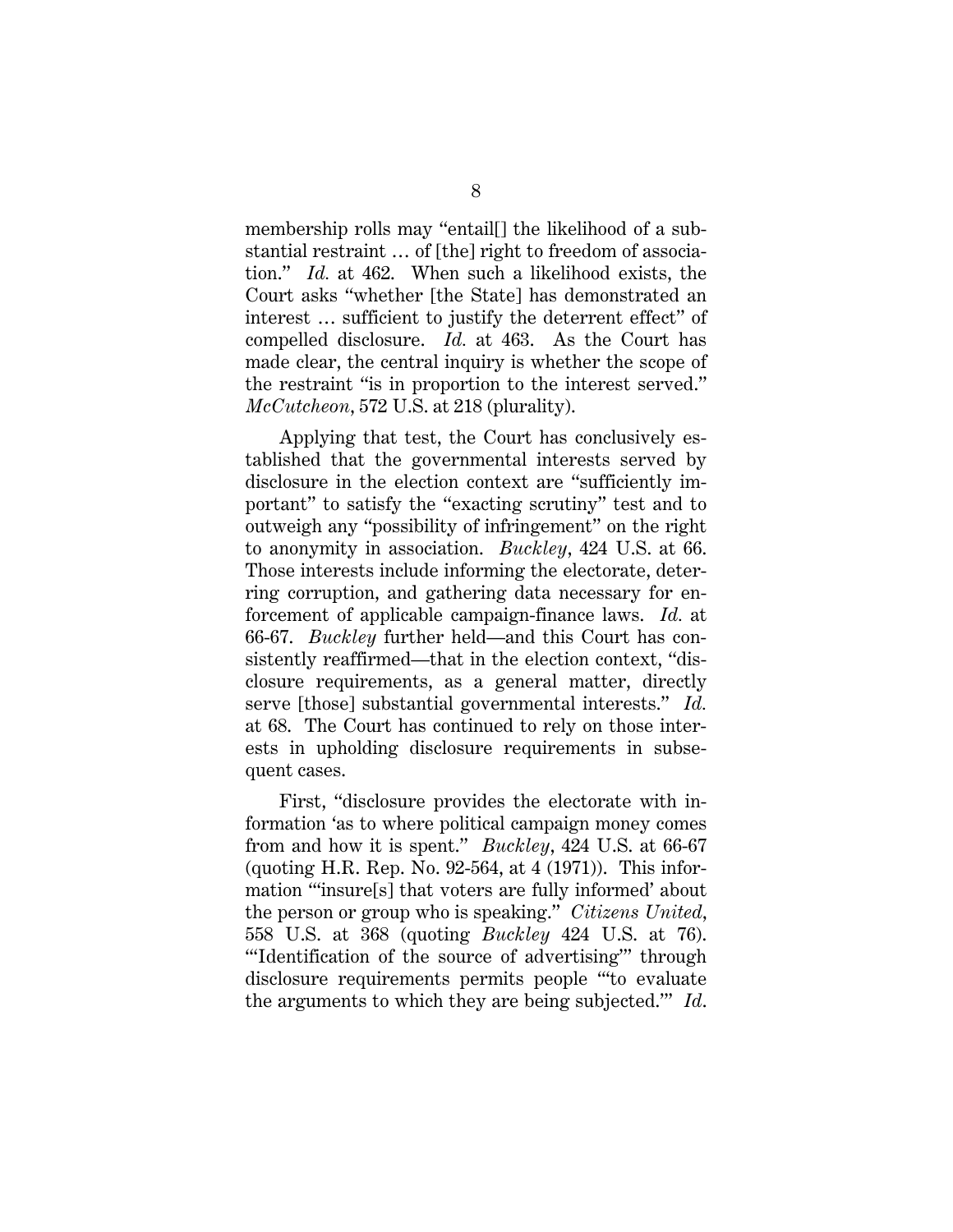membership rolls may "entail[] the likelihood of a substantial restraint … of [the] right to freedom of association." *Id.* at 462. When such a likelihood exists, the Court asks "whether [the State] has demonstrated an interest … sufficient to justify the deterrent effect" of compelled disclosure. *Id.* at 463. As the Court has made clear, the central inquiry is whether the scope of the restraint "is in proportion to the interest served." *McCutcheon*, 572 U.S. at 218 (plurality).

Applying that test, the Court has conclusively established that the governmental interests served by disclosure in the election context are "sufficiently important" to satisfy the "exacting scrutiny" test and to outweigh any "possibility of infringement" on the right to anonymity in association. *Buckley*, 424 U.S. at 66. Those interests include informing the electorate, deterring corruption, and gathering data necessary for enforcement of applicable campaign-finance laws. *Id.* at 66-67. *Buckley* further held—and this Court has consistently reaffirmed—that in the election context, "disclosure requirements, as a general matter, directly serve [those] substantial governmental interests." *Id.*  at 68. The Court has continued to rely on those interests in upholding disclosure requirements in subsequent cases.

First, "disclosure provides the electorate with information 'as to where political campaign money comes from and how it is spent." *Buckley*, 424 U.S. at 66-67 (quoting H.R. Rep. No. 92-564, at 4 (1971)). This information "'insure[s] that voters are fully informed' about the person or group who is speaking." *Citizens United*, 558 U.S. at 368 (quoting *Buckley* 424 U.S. at 76). "'Identification of the source of advertising"' through disclosure requirements permits people "'to evaluate the arguments to which they are being subjected.'" *Id*.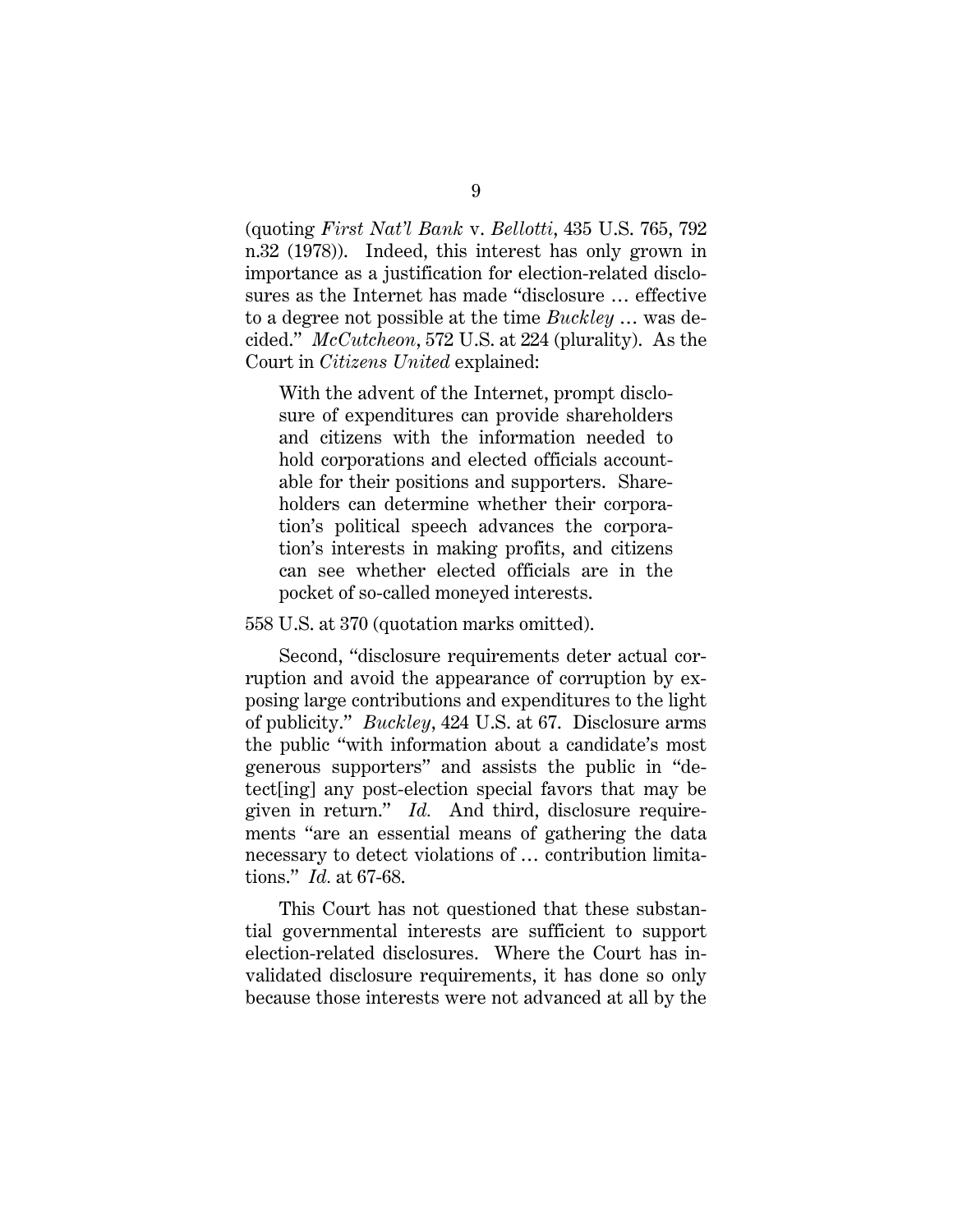(quoting *First Nat'l Bank* v. *Bellotti*, 435 U.S. 765, 792 n.32 (1978)). Indeed, this interest has only grown in importance as a justification for election-related disclosures as the Internet has made "disclosure … effective to a degree not possible at the time *Buckley* … was decided." *McCutcheon*, 572 U.S. at 224 (plurality). As the Court in *Citizens United* explained:

With the advent of the Internet, prompt disclosure of expenditures can provide shareholders and citizens with the information needed to hold corporations and elected officials accountable for their positions and supporters. Shareholders can determine whether their corporation's political speech advances the corporation's interests in making profits, and citizens can see whether elected officials are in the pocket of so-called moneyed interests.

#### 558 U.S. at 370 (quotation marks omitted).

Second, "disclosure requirements deter actual corruption and avoid the appearance of corruption by exposing large contributions and expenditures to the light of publicity." *Buckley*, 424 U.S. at 67. Disclosure arms the public "with information about a candidate's most generous supporters" and assists the public in "detect[ing] any post-election special favors that may be given in return." *Id.* And third, disclosure requirements "are an essential means of gathering the data necessary to detect violations of … contribution limitations." *Id.* at 67-68.

This Court has not questioned that these substantial governmental interests are sufficient to support election-related disclosures. Where the Court has invalidated disclosure requirements, it has done so only because those interests were not advanced at all by the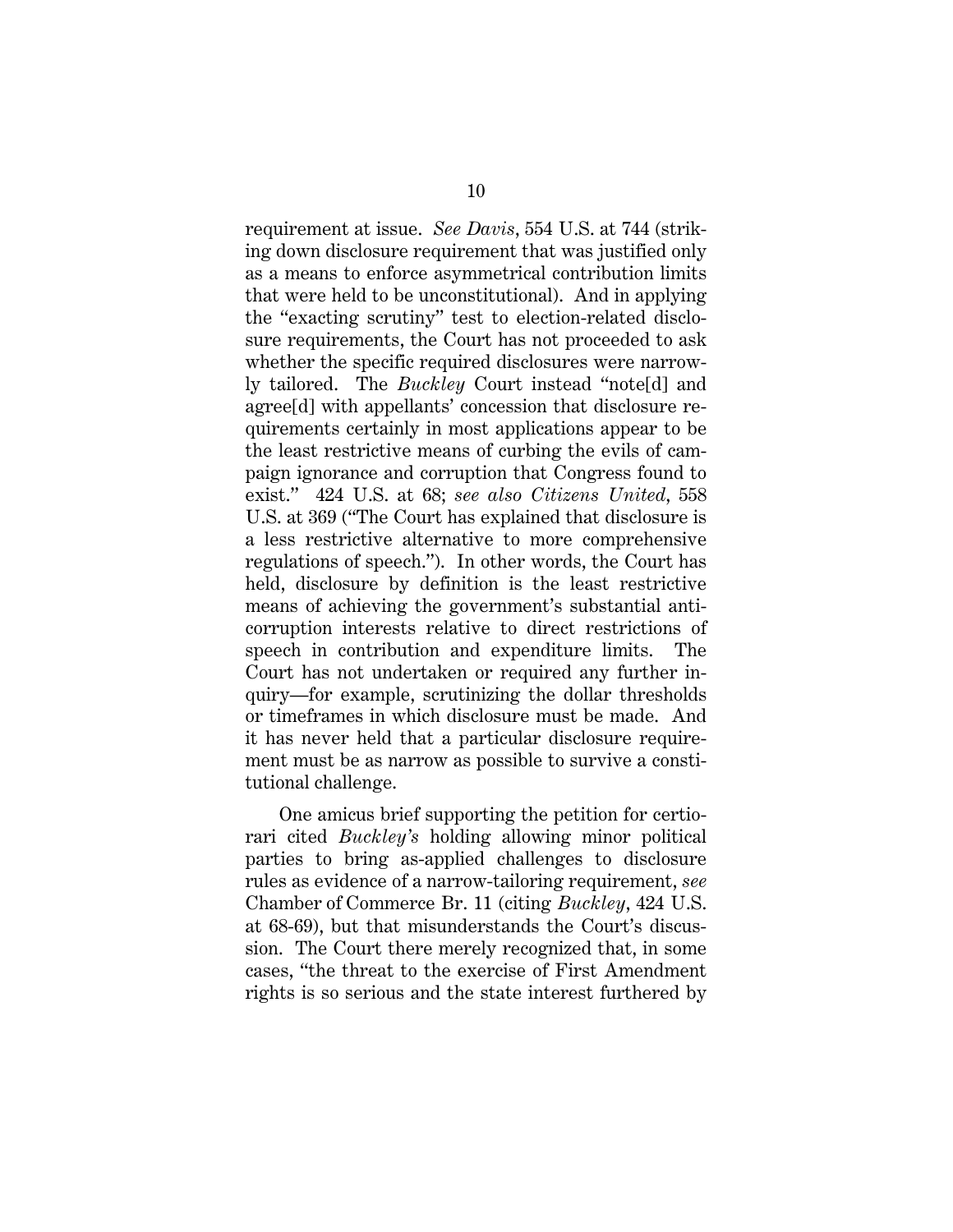requirement at issue. *See Davis*, 554 U.S. at 744 (striking down disclosure requirement that was justified only as a means to enforce asymmetrical contribution limits that were held to be unconstitutional). And in applying the "exacting scrutiny" test to election-related disclosure requirements, the Court has not proceeded to ask whether the specific required disclosures were narrowly tailored. The *Buckley* Court instead "note[d] and agree[d] with appellants' concession that disclosure requirements certainly in most applications appear to be the least restrictive means of curbing the evils of campaign ignorance and corruption that Congress found to exist." 424 U.S. at 68; *see also Citizens United*, 558 U.S. at 369 ("The Court has explained that disclosure is a less restrictive alternative to more comprehensive regulations of speech."). In other words, the Court has held, disclosure by definition is the least restrictive means of achieving the government's substantial anticorruption interests relative to direct restrictions of speech in contribution and expenditure limits. The Court has not undertaken or required any further inquiry—for example, scrutinizing the dollar thresholds or timeframes in which disclosure must be made. And it has never held that a particular disclosure requirement must be as narrow as possible to survive a constitutional challenge.

One amicus brief supporting the petition for certiorari cited *Buckley's* holding allowing minor political parties to bring as-applied challenges to disclosure rules as evidence of a narrow-tailoring requirement, *see*  Chamber of Commerce Br. 11 (citing *Buckley*, 424 U.S. at 68-69), but that misunderstands the Court's discussion. The Court there merely recognized that, in some cases, "the threat to the exercise of First Amendment rights is so serious and the state interest furthered by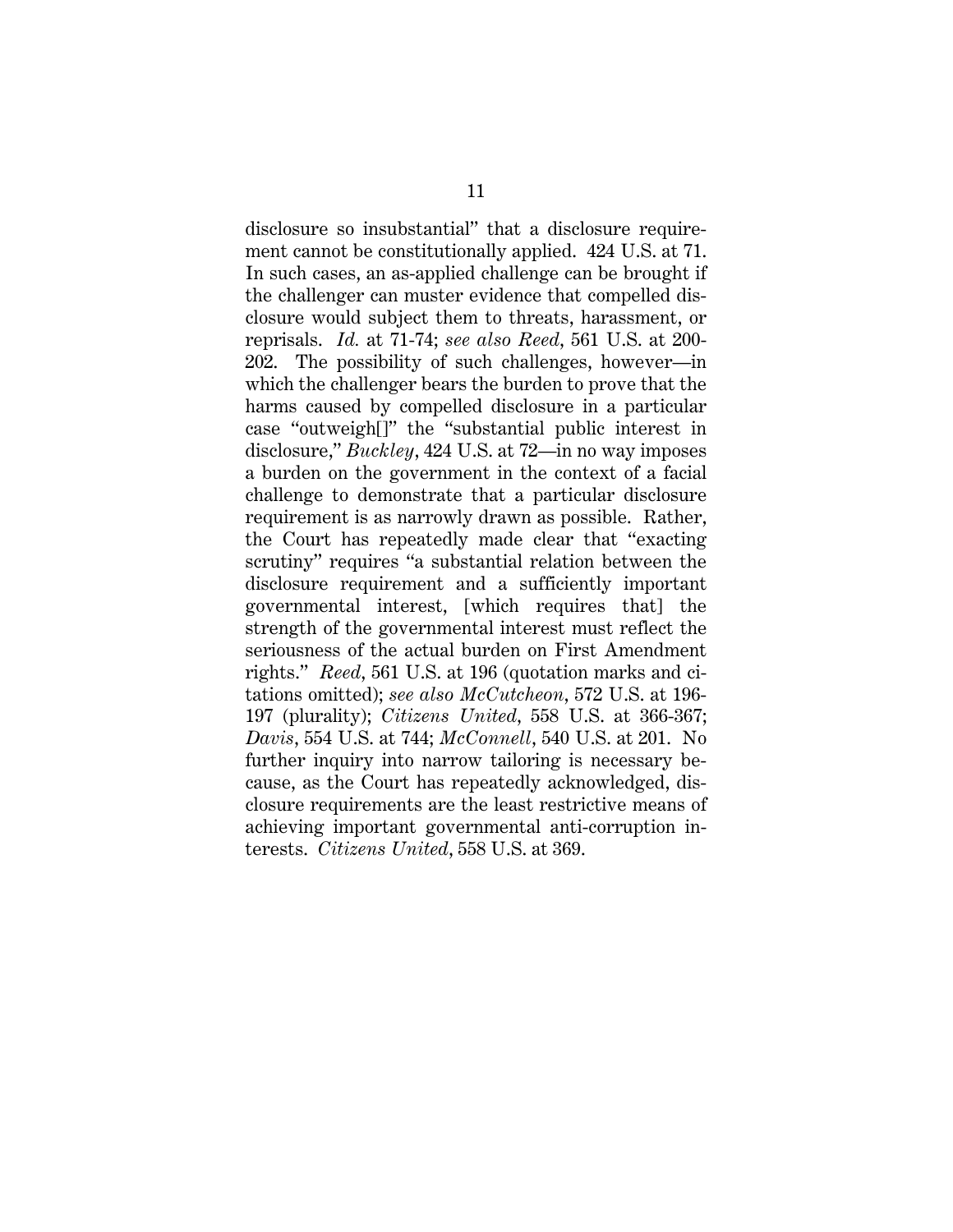disclosure so insubstantial" that a disclosure requirement cannot be constitutionally applied. 424 U.S. at 71. In such cases, an as-applied challenge can be brought if the challenger can muster evidence that compelled disclosure would subject them to threats, harassment, or reprisals. *Id.* at 71-74; *see also Reed*, 561 U.S. at 200- 202. The possibility of such challenges, however—in which the challenger bears the burden to prove that the harms caused by compelled disclosure in a particular case "outweigh[]" the "substantial public interest in disclosure," *Buckley*, 424 U.S. at 72—in no way imposes a burden on the government in the context of a facial challenge to demonstrate that a particular disclosure requirement is as narrowly drawn as possible. Rather, the Court has repeatedly made clear that "exacting scrutiny" requires "a substantial relation between the disclosure requirement and a sufficiently important governmental interest, [which requires that] the strength of the governmental interest must reflect the seriousness of the actual burden on First Amendment rights." *Reed*, 561 U.S. at 196 (quotation marks and citations omitted); *see also McCutcheon*, 572 U.S. at 196- 197 (plurality); *Citizens United*, 558 U.S. at 366-367; *Davis*, 554 U.S. at 744; *McConnell*, 540 U.S. at 201. No further inquiry into narrow tailoring is necessary because, as the Court has repeatedly acknowledged, disclosure requirements are the least restrictive means of achieving important governmental anti-corruption interests. *Citizens United*, 558 U.S. at 369.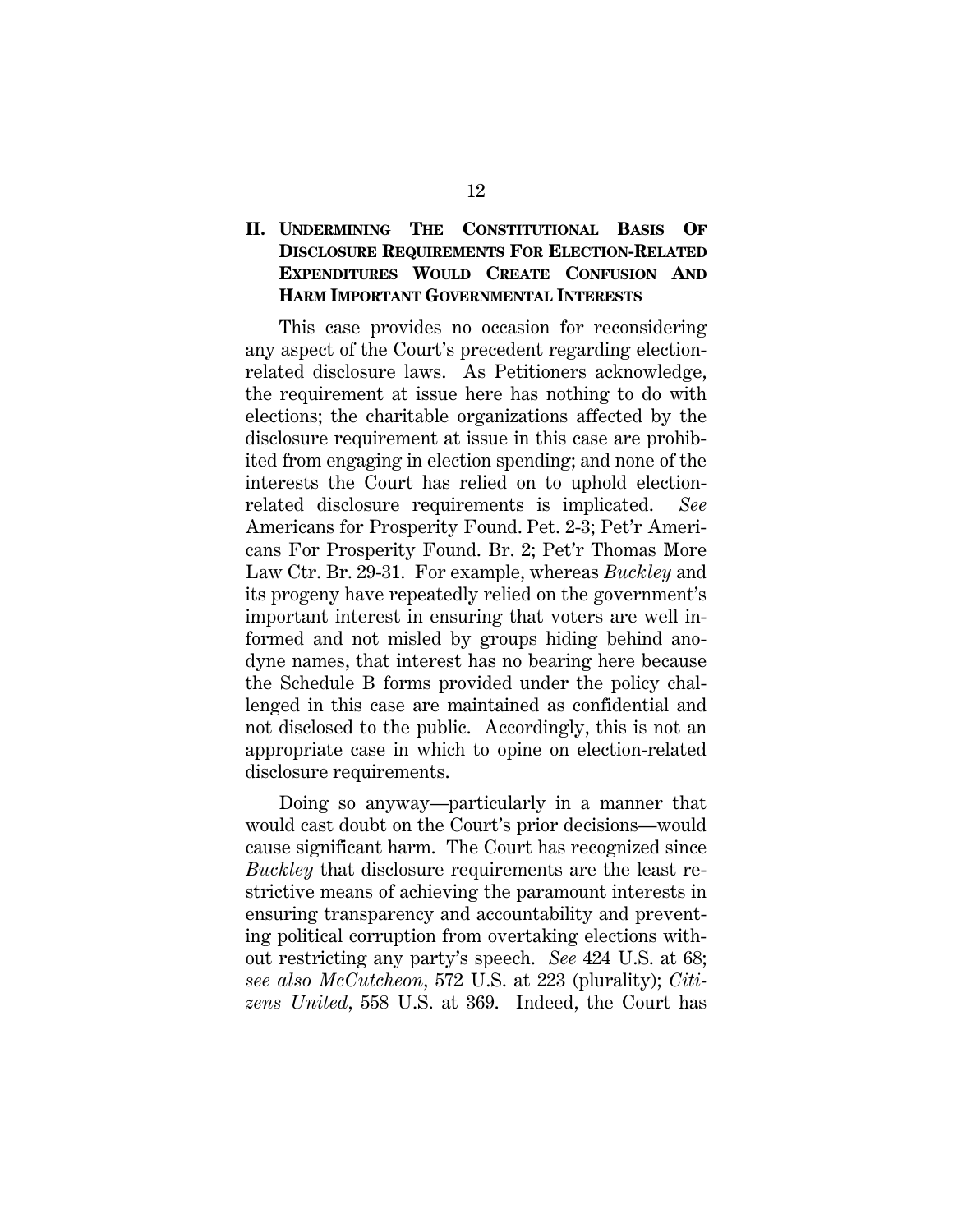### **II. UNDERMINING THE CONSTITUTIONAL BASIS OF DISCLOSURE REQUIREMENTS FOR ELECTION-RELATED EXPENDITURES WOULD CREATE CONFUSION AND HARM IMPORTANT GOVERNMENTAL INTERESTS**

This case provides no occasion for reconsidering any aspect of the Court's precedent regarding electionrelated disclosure laws. As Petitioners acknowledge, the requirement at issue here has nothing to do with elections; the charitable organizations affected by the disclosure requirement at issue in this case are prohibited from engaging in election spending; and none of the interests the Court has relied on to uphold electionrelated disclosure requirements is implicated. *See*  Americans for Prosperity Found. Pet. 2-3; Pet'r Americans For Prosperity Found. Br. 2; Pet'r Thomas More Law Ctr. Br. 29-31. For example, whereas *Buckley* and its progeny have repeatedly relied on the government's important interest in ensuring that voters are well informed and not misled by groups hiding behind anodyne names, that interest has no bearing here because the Schedule B forms provided under the policy challenged in this case are maintained as confidential and not disclosed to the public. Accordingly, this is not an appropriate case in which to opine on election-related disclosure requirements.

Doing so anyway—particularly in a manner that would cast doubt on the Court's prior decisions—would cause significant harm. The Court has recognized since *Buckley* that disclosure requirements are the least restrictive means of achieving the paramount interests in ensuring transparency and accountability and preventing political corruption from overtaking elections without restricting any party's speech. *See* 424 U.S. at 68; *see also McCutcheon*, 572 U.S. at 223 (plurality); *Citizens United*, 558 U.S. at 369. Indeed, the Court has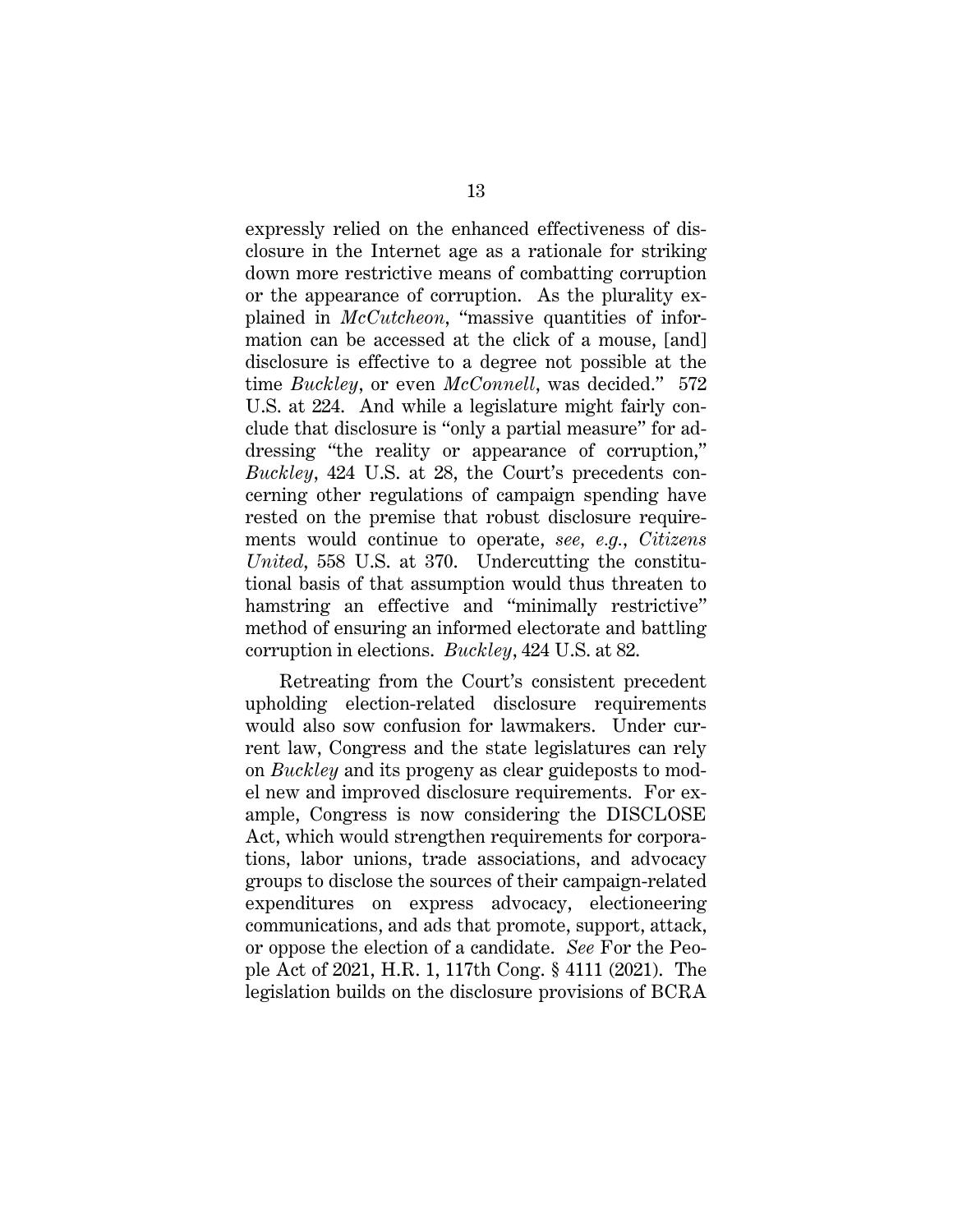expressly relied on the enhanced effectiveness of disclosure in the Internet age as a rationale for striking down more restrictive means of combatting corruption or the appearance of corruption. As the plurality explained in *McCutcheon*, "massive quantities of information can be accessed at the click of a mouse, [and] disclosure is effective to a degree not possible at the time *Buckley*, or even *McConnell*, was decided." 572 U.S. at 224. And while a legislature might fairly conclude that disclosure is "only a partial measure" for addressing "the reality or appearance of corruption," *Buckley*, 424 U.S. at 28, the Court's precedents concerning other regulations of campaign spending have rested on the premise that robust disclosure requirements would continue to operate, *see, e.g.*, *Citizens United*, 558 U.S. at 370. Undercutting the constitutional basis of that assumption would thus threaten to hamstring an effective and "minimally restrictive" method of ensuring an informed electorate and battling corruption in elections. *Buckley*, 424 U.S. at 82.

Retreating from the Court's consistent precedent upholding election-related disclosure requirements would also sow confusion for lawmakers. Under current law, Congress and the state legislatures can rely on *Buckley* and its progeny as clear guideposts to model new and improved disclosure requirements. For example, Congress is now considering the DISCLOSE Act, which would strengthen requirements for corporations, labor unions, trade associations, and advocacy groups to disclose the sources of their campaign-related expenditures on express advocacy, electioneering communications, and ads that promote, support, attack, or oppose the election of a candidate. *See* For the People Act of 2021, H.R. 1, 117th Cong. § 4111 (2021). The legislation builds on the disclosure provisions of BCRA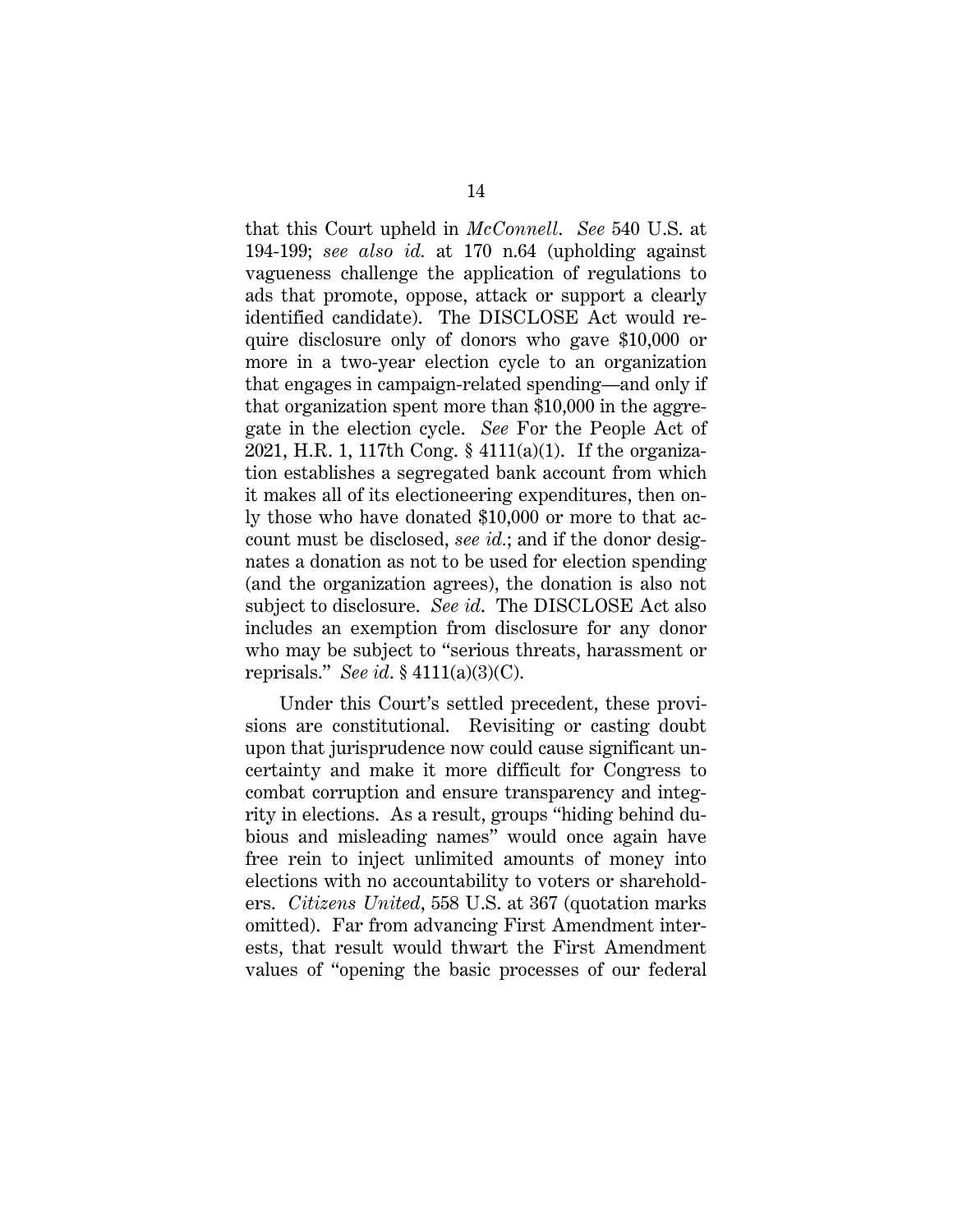that this Court upheld in *McConnell*. *See* 540 U.S. at 194-199; *see also id.* at 170 n.64 (upholding against vagueness challenge the application of regulations to ads that promote, oppose, attack or support a clearly identified candidate). The DISCLOSE Act would require disclosure only of donors who gave \$10,000 or more in a two-year election cycle to an organization that engages in campaign-related spending—and only if that organization spent more than \$10,000 in the aggregate in the election cycle. *See* For the People Act of 2021, H.R. 1, 117th Cong. § 4111(a)(1). If the organization establishes a segregated bank account from which it makes all of its electioneering expenditures, then only those who have donated \$10,000 or more to that account must be disclosed, *see id.*; and if the donor designates a donation as not to be used for election spending (and the organization agrees), the donation is also not subject to disclosure. *See id*. The DISCLOSE Act also includes an exemption from disclosure for any donor who may be subject to "serious threats, harassment or reprisals." *See id*. § 4111(a)(3)(C).

Under this Court's settled precedent, these provisions are constitutional. Revisiting or casting doubt upon that jurisprudence now could cause significant uncertainty and make it more difficult for Congress to combat corruption and ensure transparency and integrity in elections. As a result, groups "hiding behind dubious and misleading names" would once again have free rein to inject unlimited amounts of money into elections with no accountability to voters or shareholders. *Citizens United*, 558 U.S. at 367 (quotation marks omitted). Far from advancing First Amendment interests, that result would thwart the First Amendment values of "opening the basic processes of our federal